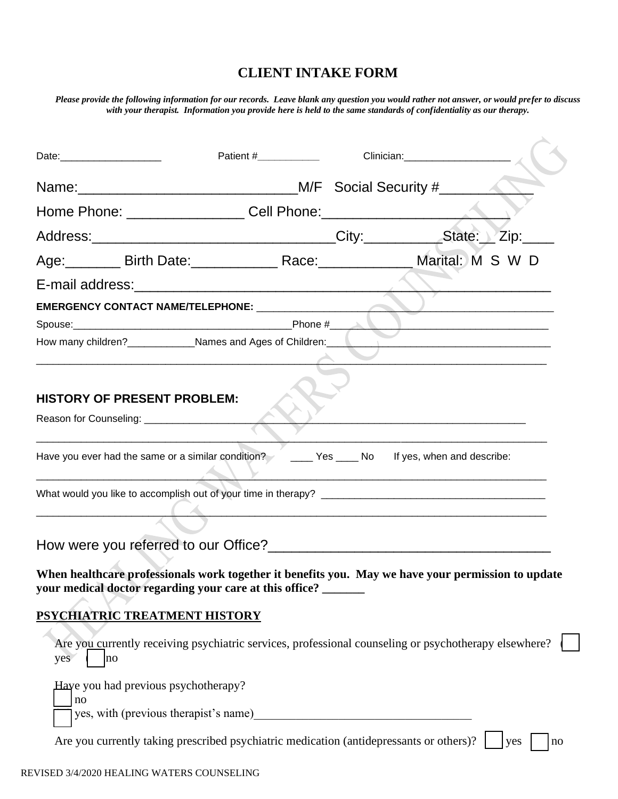## **CLIENT INTAKE FORM**

*Please provide the following information for our records. Leave blank any question you would rather not answer, or would prefer to discuss with your therapist. Information you provide here is held to the same standards of confidentiality as our therapy.*

 $\bar{\mathbf{X}}$ 

| Date:________________________              | Patient #_____________                                                                                                                                        |     |    |
|--------------------------------------------|---------------------------------------------------------------------------------------------------------------------------------------------------------------|-----|----|
|                                            |                                                                                                                                                               |     |    |
|                                            |                                                                                                                                                               |     |    |
|                                            |                                                                                                                                                               |     |    |
|                                            | Age: ________ Birth Date: ______________ Race: _____________ Marital: M S W D                                                                                 |     |    |
|                                            |                                                                                                                                                               |     |    |
|                                            | How many children? Names and Ages of Children: Names and Ages of Children.                                                                                    |     |    |
| <b>HISTORY OF PRESENT PROBLEM:</b>         |                                                                                                                                                               |     |    |
|                                            | Have you ever had the same or a similar condition? The Messeng Yes Community of the set when and describe:                                                    |     |    |
|                                            |                                                                                                                                                               |     |    |
|                                            |                                                                                                                                                               |     |    |
|                                            | When healthcare professionals work together it benefits you. May we have your permission to update<br>your medical doctor regarding your care at this office? |     |    |
| PSYCHIATRIC TREATMENT HISTORY              |                                                                                                                                                               |     |    |
| yes<br> no                                 | Are you currently receiving psychiatric services, professional counseling or psychotherapy elsewhere?                                                         |     |    |
| Haye you had previous psychotherapy?<br>no |                                                                                                                                                               |     |    |
|                                            | Are you currently taking prescribed psychiatric medication (antidepressants or others)?                                                                       | yes | no |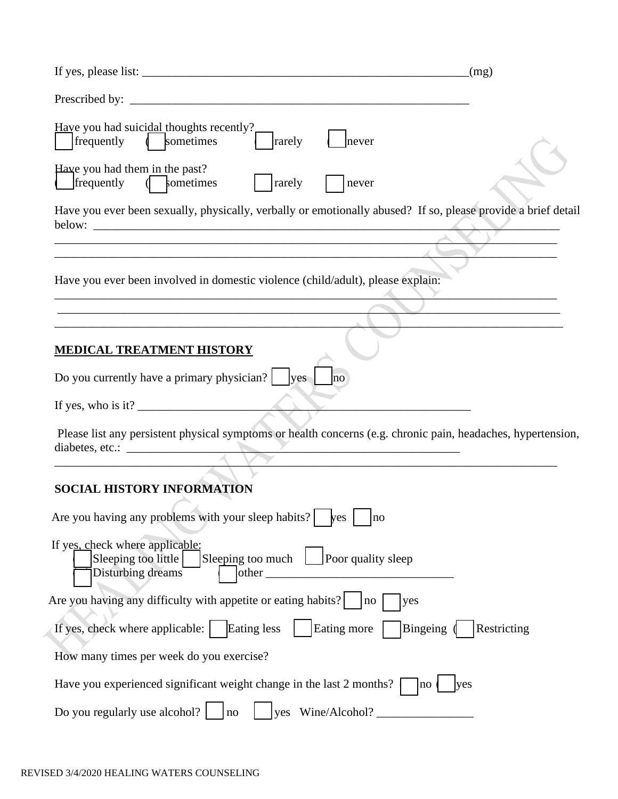| If yes, please list: $\frac{1}{2}$ is the set of the set of the set of the set of the set of the set of the set of the set of the set of the set of the set of the set of the set of the set of the set of the set of the set of                                                                                                                                                       | (mg)                                                                                                          |
|----------------------------------------------------------------------------------------------------------------------------------------------------------------------------------------------------------------------------------------------------------------------------------------------------------------------------------------------------------------------------------------|---------------------------------------------------------------------------------------------------------------|
|                                                                                                                                                                                                                                                                                                                                                                                        |                                                                                                               |
| Have you had suicidal thoughts recently?<br>rarely<br>frequently ( sometimes                                                                                                                                                                                                                                                                                                           | never                                                                                                         |
| Have you had them in the past?<br>frequently<br>( sometimes<br>rarely                                                                                                                                                                                                                                                                                                                  | never                                                                                                         |
| below:                                                                                                                                                                                                                                                                                                                                                                                 | Have you ever been sexually, physically, verbally or emotionally abused? If so, please provide a brief detail |
|                                                                                                                                                                                                                                                                                                                                                                                        |                                                                                                               |
| Have you ever been involved in domestic violence (child/adult), please explain:                                                                                                                                                                                                                                                                                                        |                                                                                                               |
|                                                                                                                                                                                                                                                                                                                                                                                        |                                                                                                               |
|                                                                                                                                                                                                                                                                                                                                                                                        |                                                                                                               |
| <u>MEDICAL TREATMENT HISTORY</u>                                                                                                                                                                                                                                                                                                                                                       |                                                                                                               |
| Do you currently have a primary physician? $ $ $ $ yes $ $                                                                                                                                                                                                                                                                                                                             |                                                                                                               |
| If yes, who is it? $\frac{1}{2}$ $\frac{1}{2}$ $\frac{1}{2}$ $\frac{1}{2}$ $\frac{1}{2}$ $\frac{1}{2}$ $\frac{1}{2}$ $\frac{1}{2}$ $\frac{1}{2}$ $\frac{1}{2}$ $\frac{1}{2}$ $\frac{1}{2}$ $\frac{1}{2}$ $\frac{1}{2}$ $\frac{1}{2}$ $\frac{1}{2}$ $\frac{1}{2}$ $\frac{1}{2}$ $\frac{1}{2}$ $\frac{1}{2}$ $\$                                                                         |                                                                                                               |
|                                                                                                                                                                                                                                                                                                                                                                                        | Please list any persistent physical symptoms or health concerns (e.g. chronic pain, headaches, hypertension,  |
|                                                                                                                                                                                                                                                                                                                                                                                        |                                                                                                               |
| <b>SOCIAL HISTORY INFORMATION</b>                                                                                                                                                                                                                                                                                                                                                      |                                                                                                               |
| Are you having any problems with your sleep habits? $\left  \right $ $\left  \right $ $\left  \right $ $\left  \right $ $\left  \right $ $\left  \right $ $\left  \right $ $\left  \right $ $\left  \right $ $\left  \right $ $\left  \right $ $\left  \right $ $\left  \right $ $\left  \right $ $\left  \right $ $\left  \right $ $\left  \right $ $\left  \right $ $\left  \right $ |                                                                                                               |
| If yes, check where applicable:<br>Sleeping too much $\Box$ Poor quality sleep<br>Sleeping too little<br>Disturbing dreams<br>other                                                                                                                                                                                                                                                    |                                                                                                               |
|                                                                                                                                                                                                                                                                                                                                                                                        | <b>yes</b>                                                                                                    |
| If yes, check where applicable:   Eating less                                                                                                                                                                                                                                                                                                                                          | Bingeing (<br>Eating more<br>Restricting                                                                      |
| How many times per week do you exercise?                                                                                                                                                                                                                                                                                                                                               |                                                                                                               |
| Have you experienced significant weight change in the last 2 months?                                                                                                                                                                                                                                                                                                                   | yes<br>no                                                                                                     |
| Do you regularly use alcohol? $\vert$<br>no                                                                                                                                                                                                                                                                                                                                            | yes Wine/Alcohol?                                                                                             |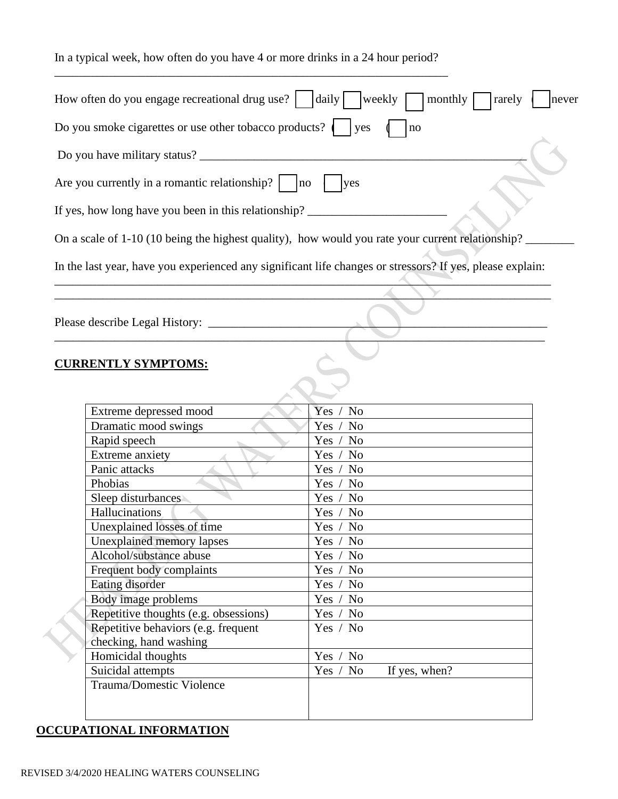In a typical week, how often do you have 4 or more drinks in a 24 hour period? \_\_\_\_\_\_\_\_\_\_\_\_\_\_\_\_\_\_\_\_\_\_\_\_\_\_\_\_\_\_\_\_\_\_\_\_\_\_\_\_\_\_\_\_\_\_\_\_\_\_\_\_\_\_\_\_\_\_\_\_\_\_\_\_\_

| How often do you engage recreational drug use? $\vert$ $\vert$ daily $\vert$                              | weekly<br>monthly<br>rarely<br>never       |
|-----------------------------------------------------------------------------------------------------------|--------------------------------------------|
| Do you smoke cigarettes or use other tobacco products? $\vert \cdot \vert$ yes                            | no                                         |
|                                                                                                           |                                            |
|                                                                                                           |                                            |
| Are you currently in a romantic relationship? $\vert$ $\vert$ no $\vert$                                  | lyes                                       |
| If yes, how long have you been in this relationship?                                                      |                                            |
| On a scale of 1-10 (10 being the highest quality), how would you rate your current relationship?          |                                            |
| In the last year, have you experienced any significant life changes or stressors? If yes, please explain: |                                            |
|                                                                                                           |                                            |
|                                                                                                           |                                            |
|                                                                                                           |                                            |
|                                                                                                           |                                            |
|                                                                                                           |                                            |
| <b>CURRENTLY SYMPTOMS:</b>                                                                                |                                            |
|                                                                                                           |                                            |
|                                                                                                           |                                            |
| Extreme depressed mood                                                                                    | Yes<br>N <sub>o</sub>                      |
| Dramatic mood swings                                                                                      | Yes /<br>N <sub>0</sub>                    |
| Rapid speech                                                                                              | N <sub>o</sub><br>Yes $/$                  |
| Extreme anxiety                                                                                           | Yes $/$<br>N <sub>0</sub>                  |
| Panic attacks                                                                                             | Yes $/$<br>N <sub>o</sub>                  |
| Phobias                                                                                                   | Yes $/$<br>N <sub>0</sub>                  |
| Sleep disturbances                                                                                        | Yes $/$<br>N <sub>o</sub>                  |
| Hallucinations                                                                                            | Yes $/$<br>No                              |
| Unexplained losses of time                                                                                | Yes $/$<br>N <sub>o</sub>                  |
| Unexplained memory lapses                                                                                 | Yes /<br>No                                |
| Alcohol/substance abuse                                                                                   | N <sub>o</sub><br>Yes /                    |
| Frequent body complaints                                                                                  | Yes /<br>N <sub>o</sub>                    |
| Eating disorder                                                                                           | Yes / No                                   |
| Body image problems                                                                                       | N <sub>o</sub><br>Yes $/$                  |
| Repetitive thoughts (e.g. obsessions)                                                                     | Yes /<br>N <sub>o</sub>                    |
| Repetitive behaviors (e.g. frequent                                                                       | Yes / No                                   |
| checking, hand washing                                                                                    |                                            |
| Homicidal thoughts                                                                                        | $\rm No$<br>Yes /                          |
| Suicidal attempts                                                                                         | N <sub>o</sub><br>If yes, when?<br>Yes $/$ |

Trauma/Domestic Violence

## **OCCUPATIONAL INFORMATION**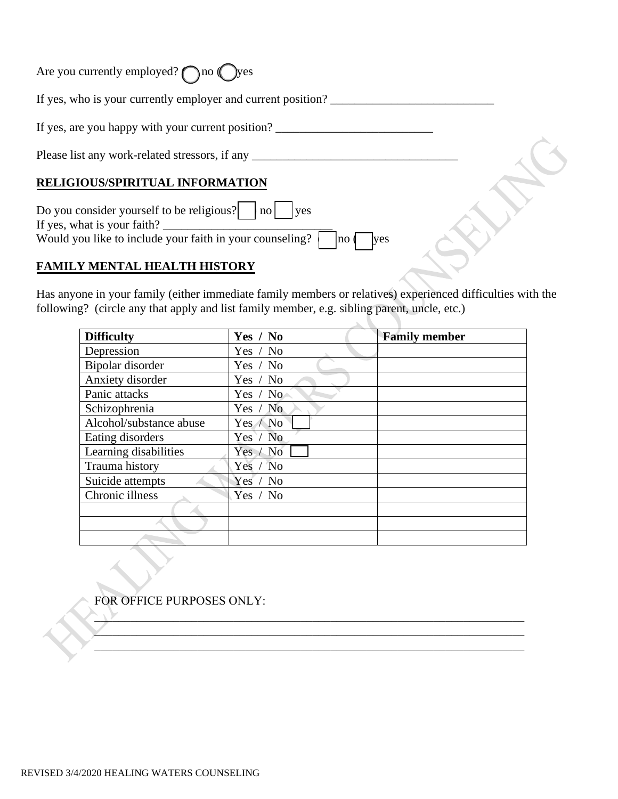| Are you currently employed? $\bigcap$ no $\bigcap$ yes                                                                                                       |  |
|--------------------------------------------------------------------------------------------------------------------------------------------------------------|--|
| If yes, who is your currently employer and current position?                                                                                                 |  |
| If yes, are you happy with your current position?                                                                                                            |  |
| Please list any work-related stressors, if any _______                                                                                                       |  |
| RELIGIOUS/SPIRITUAL INFORMATION                                                                                                                              |  |
| Do you consider yourself to be religious? $ $ no $ $ lyes<br>If yes, what is your faith?<br>Would you like to include your faith in your counseling?<br>no ( |  |
| LY MENTAL HEALTH HIST                                                                                                                                        |  |

Has anyone in your family (either immediate family members or relatives) experienced difficulties with the following? (circle any that apply and list family member, e.g. sibling parent, uncle, etc.)

k.

| <b>Difficulty</b>       | Yes / No   | <b>Family member</b> |
|-------------------------|------------|----------------------|
| Depression              | Yes / No   |                      |
| Bipolar disorder        | Yes / No   |                      |
| Anxiety disorder        | Yes / No   |                      |
| Panic attacks           | Yes / $No$ |                      |
| Schizophrenia           | Yes / No   |                      |
| Alcohol/substance abuse | Yes / No   |                      |
| Eating disorders        | Yes / No   |                      |
| Learning disabilities   | Yes / No   |                      |
| Trauma history          | Yes / No   |                      |
| Suicide attempts        | Yes / No   |                      |
| Chronic illness         | Yes / No   |                      |
|                         |            |                      |
|                         |            |                      |
|                         |            |                      |

 $\_$ 

FOR OFFICE PURPOSES ONLY: